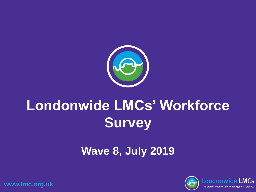

# **Londonwide LMCs' Workforce Survey**

## **Wave 8, July 2019**

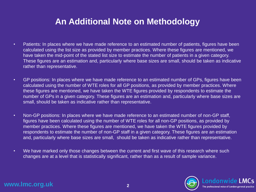## **An Additional Note on Methodology**

- Patients: In places where we have made reference to an estimated number of patients, figures have been calculated using the list size as provided by member practices. Where these figures are mentioned, we have taken the mid-point of the stated list size to estimate the number of patients in a given category. These figures are an estimation and, particularly where base sizes are small, should be taken as indicative rather than representative.
- GP positions: In places where we have made reference to an estimated number of GPs, figures have been calculated using the number of WTE roles for all GP positions, as provided by member practices. Where these figures are mentioned, we have taken the WTE figures provided by respondents to estimate the number of GPs in a given category. These figures are an estimation and, particularly where base sizes are small, should be taken as indicative rather than representative.
- Non-GP positions: In places where we have made reference to an estimated number of non-GP staff, figures have been calculated using the number of WTE roles for all non-GP positions, as provided by member practices. Where these figures are mentioned, we have taken the WTE figures provided by respondents to estimate the number of non-GP staff in a given category. These figures are an estimation and, particularly where base sizes are small, should be taken as indicative rather than representative.
- We have marked only those changes between the current and first wave of this research where such changes are at a level that is statistically significant, rather than as a result of sample variance.

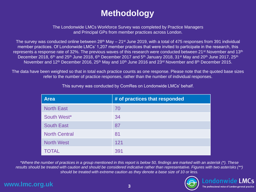## **Methodology**

The Londonwide LMCs Workforce Survey was completed by Practice Managers and Principal GPs from member practices across London.

The survey was conducted online between  $28<sup>th</sup>$  May –  $21<sup>st</sup>$  June 2019, with a total of 475 responses from 391 individual member practices. Of Londonwide LMCs' 1,207 member practices that were invited to participate in the research, this represents a response rate of 32%. The previous waves of this research were conducted between 21<sup>st</sup> November and 13<sup>th</sup> December 2018, 6<sup>th</sup> and 25<sup>th</sup> June 2018, 6<sup>th</sup> December 2017 and 5<sup>th</sup> January 2018, 31<sup>st</sup> May and 20<sup>th</sup> June 2017, 25<sup>th</sup> November and 12<sup>th</sup> December 2016, 25<sup>th</sup> May and 10<sup>th</sup> June 2016 and 23<sup>rd</sup> November and 8<sup>th</sup> December 2015.

The data have been weighted so that in total each practice counts as one response. Please note that the quoted base sizes refer to the number of practice responses, rather than the number of individual responses.

| <b>Area</b>          | # of practices that responded |
|----------------------|-------------------------------|
| <b>North East</b>    | 70                            |
| South West*          | 34                            |
| <b>South East</b>    | 87                            |
| <b>North Central</b> | 81                            |
| <b>North West</b>    | 121                           |
| <b>TOTAL</b>         | 391                           |

This survey was conducted by ComRes on Londonwide LMCs' behalf.

*\*Where the number of practices in a group mentioned in this report is below 50, findings are marked with an asterisk (\*). These results should be treated with caution and should be considered indicative rather than representative. Figures with two asterisks (\*\*) should be treated with extreme caution as they denote a base size of 10 or less.*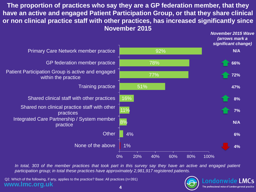**The proportion of practices who say they are a GP federation member, that they have an active and engaged Patient Participation Group, or that they share clinical or non clinical practice staff with other practices, has increased significantly since November 2015**



In total, 303 of the member practices that took part in this survey say they have an active and engaged patient *participation group; in total these practices have approximately 2,981,917 registered patients.*

**www.lmc.org.uk** Q2. Which of the following, if any, applies to the practice? Base: All practices (n=391)



*November 2015 Wave*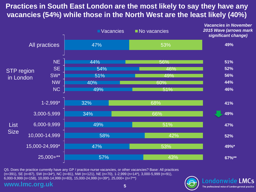## **Practices in South East London are the most likely to say they have any vacancies (54%) while those in the North West are the least likely (40%)**



Q5. Does the practice currently have any GP / practice nurse vacancies, or other vacancies? Base: All practices (n=391), SE (n=87), SW (n=34\*), NC (n=81), NW (n=121), NE (n=70), 1-2,999 (n=14\*), 3,000-5,999 (n=91), 6,000-9,999 (n=158), 10,000-14,999 (n=83), 15,000-24,999 (n=39\*), 25,000+ (n=7\*\*)

#### **www.lmc.org.uk**

Londonwide LMCs The professional voice of London general practice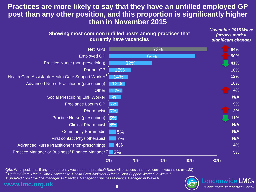## **Practices are more likely to say that they have an unfilled employed GP post than any other position, and this proportion is significantly higher than in November 2015**



Q6a. What positions, if any, are currently vacant at the practice? Base: All practices that have current vacancies (n=183)

*<sup>+</sup> Updated from 'Health Care Assistant' to 'Health Care Assistant / Health Care Support Worker' in Wave 7*

*‡ Updated from 'Practice manager' to 'Practice Manager or Business/Finance Manager' in Wave 8*

#### www.lmc.org

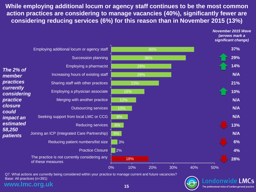**While employing additional locum or agency staff continues to be the most common action practices are considering to manage vacancies (40%), significantly fewer are considering reducing services (6%) for this reason than in November 2015 (13%)**

*November 2015 Wave* 

Londonwide LMCs The professional voice of London general practice



Base: All practices (n=391)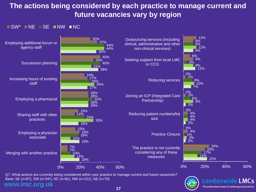## **The actions being considered by each practice to manage current and future vacancies vary by region**

#### $\blacksquare$  SW\*  $\blacksquare$  NE  $\blacksquare$  SE  $\blacksquare$  NW  $\blacksquare$  NC



**www.lmc.org.uk** Q7. What actions are currently being considered within your practice to manage current and future vacancies? Base: SE (n=87), SW (n=34\*), NC (n=81), NW (n=121), NE (n=70)

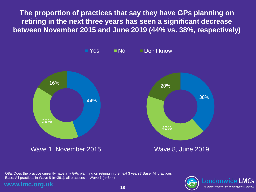**The proportion of practices that say they have GPs planning on retiring in the next three years has seen a significant decrease between November 2015 and June 2019 (44% vs. 38%, respectively)**



Q8a. Does the practice currently have any GPs planning on retiring in the next 3 years? Base: All practices Base: All practices in Wave 8 (n=391); all practices in Wave 1 (n=644)

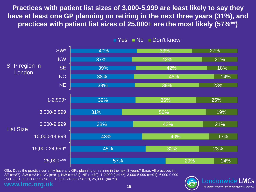**Practices with patient list sizes of 3,000-5,999 are least likely to say they have at least one GP planning on retiring in the next three years (31%), and practices with patient list sizes of 25,000+ are the most likely (57%\*\*)** 



 $\blacksquare$  Yes  $\blacksquare$  No  $\blacksquare$  Don't know

**www.lmc.org.uk** Q8a. Does the practice currently have any GPs planning on retiring in the next 3 years? Base: All practices in; SE (n=87), SW (n=34\*), NC (n=81), NW (n=121), NE (n=70); 1-2,999 (n=14\*), 3,000-5,999 (n=91), 6,000-9,999 (n=158), 10,000-14,999 (n=83), 15,000-24,999 (n=39\*), 25,000+ (n=7\*\*)

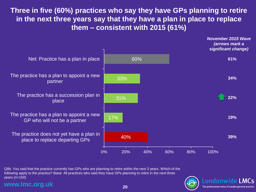**Three in five (60%) practices who say they have GPs planning to retire in the next three years say that they have a plan in place to replace them – consistent with 2015 (61%)**



Q8b. You said that the practice currently has GPs who are planning to retire within the next 3 years. Which of the following apply to the practice? Base: All practices who said they have GPs planning to retire in the next three years (n=150)

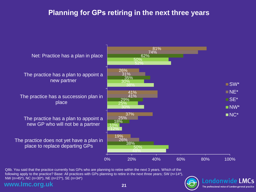## **Planning for GPs retiring in the next three years**



Q8b. You said that the practice currently has GPs who are planning to retire within the next 3 years. Which of the following apply to the practice? Base: All practices with GPs planning to retire in the next three years; SW (n=14\*), NW (n=45\*), NC (n=30\*), NE (n=27\*), SE (n=34\*)

#### **www.lmc.org.uk**

Londonwide LMCs The professional voice of London general practice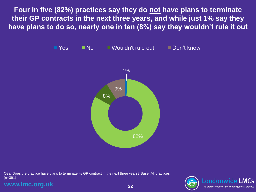**Four in five (82%) practices say they do not have plans to terminate their GP contracts in the next three years, and while just 1% say they have plans to do so, nearly one in ten (8%) say they wouldn't rule it out**



Q9a. Does the practice have plans to terminate its GP contract in the next three years? Base: All practices (n=391)

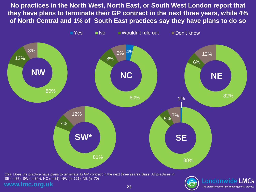**No practices in the North West, North East, or South West London report that they have plans to terminate their GP contract in the next three years, while 4% of North Central and 1% of South East practices say they have plans to do so**



**www.lmc.org.uk**

**23**

The professional voice of London general practice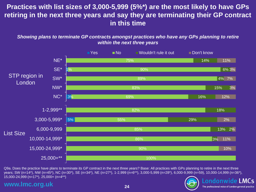## **Practices with list sizes of 3,000-5,999 (5%\*) are the most likely to have GPs retiring in the next three years and say they are terminating their GP contract in this time**

*Showing plans to terminate GP contracts amongst practices who have any GPs planning to retire within the next three years*



Q9a. Does the practice have plans to terminate its GP contract in the next three years? Base: All practices with GPs planning to retire in the next three years; SW (n=14\*), NW (n=45\*), NC (n=30\*), SE (n=34\*), NE (n=27\*), 1-2,999 (n=6\*\*), 3,000-5,999 (n=28\*), 6,000-9,999 (n=59), 10,000-14,999 (n=36\*), 15,000-24,999 (n=17\*), 25,000+ (n=4\*\*)